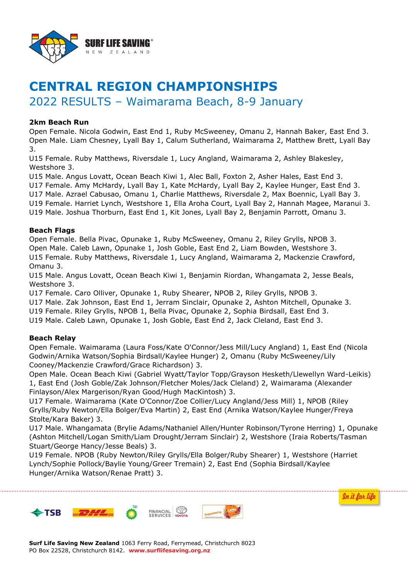

# **CENTRAL REGION CHAMPIONSHIPS**

# 2022 RESULTS – Waimarama Beach, 8-9 January

## **2km Beach Run**

Open Female. Nicola Godwin, East End 1, Ruby McSweeney, Omanu 2, Hannah Baker, East End 3. Open Male. Liam Chesney, Lyall Bay 1, Calum Sutherland, Waimarama 2, Matthew Brett, Lyall Bay 3.

U15 Female. Ruby Matthews, Riversdale 1, Lucy Angland, Waimarama 2, Ashley Blakesley, Westshore 3.

U15 Male. Angus Lovatt, Ocean Beach Kiwi 1, Alec Ball, Foxton 2, Asher Hales, East End 3.

U17 Female. Amy McHardy, Lyall Bay 1, Kate McHardy, Lyall Bay 2, Kaylee Hunger, East End 3.

U17 Male. Azrael Cabusao, Omanu 1, Charlie Matthews, Riversdale 2, Max Boennic, Lyall Bay 3.

U19 Female. Harriet Lynch, Westshore 1, Ella Aroha Court, Lyall Bay 2, Hannah Magee, Maranui 3.

U19 Male. Joshua Thorburn, East End 1, Kit Jones, Lyall Bay 2, Benjamin Parrott, Omanu 3.

#### **Beach Flags**

Open Female. Bella Pivac, Opunake 1, Ruby McSweeney, Omanu 2, Riley Grylls, NPOB 3. Open Male. Caleb Lawn, Opunake 1, Josh Goble, East End 2, Liam Bowden, Westshore 3. U15 Female. Ruby Matthews, Riversdale 1, Lucy Angland, Waimarama 2, Mackenzie Crawford, Omanu 3.

U15 Male. Angus Lovatt, Ocean Beach Kiwi 1, Benjamin Riordan, Whangamata 2, Jesse Beals, Westshore 3.

U17 Female. Caro Olliver, Opunake 1, Ruby Shearer, NPOB 2, Riley Grylls, NPOB 3.

U17 Male. Zak Johnson, East End 1, Jerram Sinclair, Opunake 2, Ashton Mitchell, Opunake 3.

U19 Female. Riley Grylls, NPOB 1, Bella Pivac, Opunake 2, Sophia Birdsall, East End 3.

U19 Male. Caleb Lawn, Opunake 1, Josh Goble, East End 2, Jack Cleland, East End 3.

# **Beach Relay**

Open Female. Waimarama (Laura Foss/Kate O'Connor/Jess Mill/Lucy Angland) 1, East End (Nicola Godwin/Arnika Watson/Sophia Birdsall/Kaylee Hunger) 2, Omanu (Ruby McSweeney/Lily Cooney/Mackenzie Crawford/Grace Richardson) 3.

Open Male. Ocean Beach Kiwi (Gabriel Wyatt/Taylor Topp/Grayson Hesketh/Llewellyn Ward-Leikis) 1, East End (Josh Goble/Zak Johnson/Fletcher Moles/Jack Cleland) 2, Waimarama (Alexander Finlayson/Alex Margerison/Ryan Good/Hugh MacKintosh) 3.

U17 Female. Waimarama (Kate O'Connor/Zoe Collier/Lucy Angland/Jess Mill) 1, NPOB (Riley Grylls/Ruby Newton/Ella Bolger/Eva Martin) 2, East End (Arnika Watson/Kaylee Hunger/Freya Stolte/Kara Baker) 3.

U17 Male. Whangamata (Brylie Adams/Nathaniel Allen/Hunter Robinson/Tyrone Herring) 1, Opunake (Ashton Mitchell/Logan Smith/Liam Drought/Jerram Sinclair) 2, Westshore (Iraia Roberts/Tasman Stuart/George Hancy/Jesse Beals) 3.

In it for life

U19 Female. NPOB (Ruby Newton/Riley Grylls/Ella Bolger/Ruby Shearer) 1, Westshore (Harriet Lynch/Sophie Pollock/Baylie Young/Greer Tremain) 2, East End (Sophia Birdsall/Kaylee Hunger/Arnika Watson/Renae Pratt) 3.

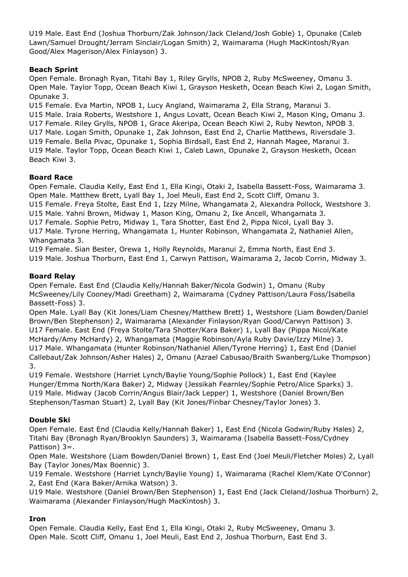U19 Male. East End (Joshua Thorburn/Zak Johnson/Jack Cleland/Josh Goble) 1, Opunake (Caleb Lawn/Samuel Drought/Jerram Sinclair/Logan Smith) 2, Waimarama (Hugh MacKintosh/Ryan Good/Alex Magerison/Alex Finlayson) 3.

## **Beach Sprint**

Open Female. Bronagh Ryan, Titahi Bay 1, Riley Grylls, NPOB 2, Ruby McSweeney, Omanu 3. Open Male. Taylor Topp, Ocean Beach Kiwi 1, Grayson Hesketh, Ocean Beach Kiwi 2, Logan Smith, Opunake 3.

U15 Female. Eva Martin, NPOB 1, Lucy Angland, Waimarama 2, Ella Strang, Maranui 3. U15 Male. Iraia Roberts, Westshore 1, Angus Lovatt, Ocean Beach Kiwi 2, Mason King, Omanu 3. U17 Female. Riley Grylls, NPOB 1, Grace Akeripa, Ocean Beach Kiwi 2, Ruby Newton, NPOB 3. U17 Male. Logan Smith, Opunake 1, Zak Johnson, East End 2, Charlie Matthews, Riversdale 3. U19 Female. Bella Pivac, Opunake 1, Sophia Birdsall, East End 2, Hannah Magee, Maranui 3. U19 Male. Taylor Topp, Ocean Beach Kiwi 1, Caleb Lawn, Opunake 2, Grayson Hesketh, Ocean Beach Kiwi 3.

#### **Board Race**

Open Female. Claudia Kelly, East End 1, Ella Kingi, Otaki 2, Isabella Bassett-Foss, Waimarama 3. Open Male. Matthew Brett, Lyall Bay 1, Joel Meuli, East End 2, Scott Cliff, Omanu 3. U15 Female. Freya Stolte, East End 1, Izzy Milne, Whangamata 2, Alexandra Pollock, Westshore 3. U15 Male. Yahni Brown, Midway 1, Mason King, Omanu 2, Ike Ancell, Whangamata 3.

U17 Female. Sophie Petro, Midway 1, Tara Shotter, East End 2, Pippa Nicol, Lyall Bay 3.

U17 Male. Tyrone Herring, Whangamata 1, Hunter Robinson, Whangamata 2, Nathaniel Allen, Whangamata 3.

U19 Female. Sian Bester, Orewa 1, Holly Reynolds, Maranui 2, Emma North, East End 3. U19 Male. Joshua Thorburn, East End 1, Carwyn Pattison, Waimarama 2, Jacob Corrin, Midway 3.

#### **Board Relay**

Open Female. East End (Claudia Kelly/Hannah Baker/Nicola Godwin) 1, Omanu (Ruby McSweeney/Lily Cooney/Madi Greetham) 2, Waimarama (Cydney Pattison/Laura Foss/Isabella Bassett-Foss) 3.

Open Male. Lyall Bay (Kit Jones/Liam Chesney/Matthew Brett) 1, Westshore (Liam Bowden/Daniel Brown/Ben Stephenson) 2, Waimarama (Alexander Finlayson/Ryan Good/Carwyn Pattison) 3. U17 Female. East End (Freya Stolte/Tara Shotter/Kara Baker) 1, Lyall Bay (Pippa Nicol/Kate McHardy/Amy McHardy) 2, Whangamata (Maggie Robinson/Ayla Ruby Davie/Izzy Milne) 3. U17 Male. Whangamata (Hunter Robinson/Nathaniel Allen/Tyrone Herring) 1, East End (Daniel Callebaut/Zak Johnson/Asher Hales) 2, Omanu (Azrael Cabusao/Braith Swanberg/Luke Thompson) 3.

U19 Female. Westshore (Harriet Lynch/Baylie Young/Sophie Pollock) 1, East End (Kaylee Hunger/Emma North/Kara Baker) 2, Midway (Jessikah Fearnley/Sophie Petro/Alice Sparks) 3. U19 Male. Midway (Jacob Corrin/Angus Blair/Jack Lepper) 1, Westshore (Daniel Brown/Ben Stephenson/Tasman Stuart) 2, Lyall Bay (Kit Jones/Finbar Chesney/Taylor Jones) 3.

# **Double Ski**

Open Female. East End (Claudia Kelly/Hannah Baker) 1, East End (Nicola Godwin/Ruby Hales) 2, Titahi Bay (Bronagh Ryan/Brooklyn Saunders) 3, Waimarama (Isabella Bassett-Foss/Cydney Pattison) 3=.

Open Male. Westshore (Liam Bowden/Daniel Brown) 1, East End (Joel Meuli/Fletcher Moles) 2, Lyall Bay (Taylor Jones/Max Boennic) 3.

U19 Female. Westshore (Harriet Lynch/Baylie Young) 1, Waimarama (Rachel Klem/Kate O'Connor) 2, East End (Kara Baker/Arnika Watson) 3.

U19 Male. Westshore (Daniel Brown/Ben Stephenson) 1, East End (Jack Cleland/Joshua Thorburn) 2, Waimarama (Alexander Finlayson/Hugh MacKintosh) 3.

#### **Iron**

Open Female. Claudia Kelly, East End 1, Ella Kingi, Otaki 2, Ruby McSweeney, Omanu 3. Open Male. Scott Cliff, Omanu 1, Joel Meuli, East End 2, Joshua Thorburn, East End 3.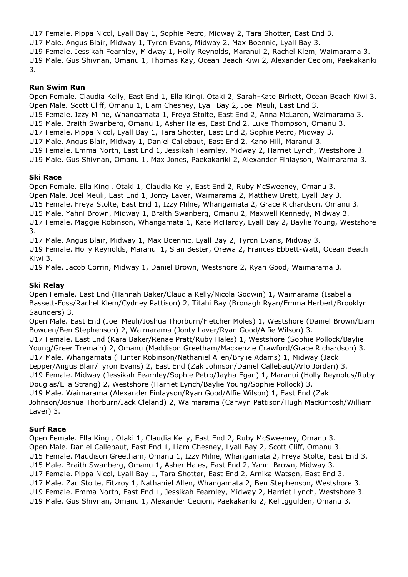U17 Female. Pippa Nicol, Lyall Bay 1, Sophie Petro, Midway 2, Tara Shotter, East End 3. U17 Male. Angus Blair, Midway 1, Tyron Evans, Midway 2, Max Boennic, Lyall Bay 3. U19 Female. Jessikah Fearnley, Midway 1, Holly Reynolds, Maranui 2, Rachel Klem, Waimarama 3. U19 Male. Gus Shivnan, Omanu 1, Thomas Kay, Ocean Beach Kiwi 2, Alexander Cecioni, Paekakariki 3.

#### **Run Swim Run**

Open Female. Claudia Kelly, East End 1, Ella Kingi, Otaki 2, Sarah-Kate Birkett, Ocean Beach Kiwi 3. Open Male. Scott Cliff, Omanu 1, Liam Chesney, Lyall Bay 2, Joel Meuli, East End 3. U15 Female. Izzy Milne, Whangamata 1, Freya Stolte, East End 2, Anna McLaren, Waimarama 3. U15 Male. Braith Swanberg, Omanu 1, Asher Hales, East End 2, Luke Thompson, Omanu 3. U17 Female. Pippa Nicol, Lyall Bay 1, Tara Shotter, East End 2, Sophie Petro, Midway 3. U17 Male. Angus Blair, Midway 1, Daniel Callebaut, East End 2, Kano Hill, Maranui 3. U19 Female. Emma North, East End 1, Jessikah Fearnley, Midway 2, Harriet Lynch, Westshore 3. U19 Male. Gus Shivnan, Omanu 1, Max Jones, Paekakariki 2, Alexander Finlayson, Waimarama 3.

#### **Ski Race**

Open Female. Ella Kingi, Otaki 1, Claudia Kelly, East End 2, Ruby McSweeney, Omanu 3. Open Male. Joel Meuli, East End 1, Jonty Laver, Waimarama 2, Matthew Brett, Lyall Bay 3. U15 Female. Freya Stolte, East End 1, Izzy Milne, Whangamata 2, Grace Richardson, Omanu 3. U15 Male. Yahni Brown, Midway 1, Braith Swanberg, Omanu 2, Maxwell Kennedy, Midway 3. U17 Female. Maggie Robinson, Whangamata 1, Kate McHardy, Lyall Bay 2, Baylie Young, Westshore 3.

U17 Male. Angus Blair, Midway 1, Max Boennic, Lyall Bay 2, Tyron Evans, Midway 3.

U19 Female. Holly Reynolds, Maranui 1, Sian Bester, Orewa 2, Frances Ebbett-Watt, Ocean Beach Kiwi 3.

U19 Male. Jacob Corrin, Midway 1, Daniel Brown, Westshore 2, Ryan Good, Waimarama 3.

# **Ski Relay**

Open Female. East End (Hannah Baker/Claudia Kelly/Nicola Godwin) 1, Waimarama (Isabella Bassett-Foss/Rachel Klem/Cydney Pattison) 2, Titahi Bay (Bronagh Ryan/Emma Herbert/Brooklyn Saunders) 3.

Open Male. East End (Joel Meuli/Joshua Thorburn/Fletcher Moles) 1, Westshore (Daniel Brown/Liam Bowden/Ben Stephenson) 2, Waimarama (Jonty Laver/Ryan Good/Alfie Wilson) 3. U17 Female. East End (Kara Baker/Renae Pratt/Ruby Hales) 1, Westshore (Sophie Pollock/Baylie Young/Greer Tremain) 2, Omanu (Maddison Greetham/Mackenzie Crawford/Grace Richardson) 3. U17 Male. Whangamata (Hunter Robinson/Nathaniel Allen/Brylie Adams) 1, Midway (Jack Lepper/Angus Blair/Tyron Evans) 2, East End (Zak Johnson/Daniel Callebaut/Arlo Jordan) 3. U19 Female. Midway (Jessikah Fearnley/Sophie Petro/Jayha Egan) 1, Maranui (Holly Reynolds/Ruby Douglas/Ella Strang) 2, Westshore (Harriet Lynch/Baylie Young/Sophie Pollock) 3. U19 Male. Waimarama (Alexander Finlayson/Ryan Good/Alfie Wilson) 1, East End (Zak Johnson/Joshua Thorburn/Jack Cleland) 2, Waimarama (Carwyn Pattison/Hugh MacKintosh/William Laver) 3.

# **Surf Race**

Open Female. Ella Kingi, Otaki 1, Claudia Kelly, East End 2, Ruby McSweeney, Omanu 3. Open Male. Daniel Callebaut, East End 1, Liam Chesney, Lyall Bay 2, Scott Cliff, Omanu 3. U15 Female. Maddison Greetham, Omanu 1, Izzy Milne, Whangamata 2, Freya Stolte, East End 3. U15 Male. Braith Swanberg, Omanu 1, Asher Hales, East End 2, Yahni Brown, Midway 3. U17 Female. Pippa Nicol, Lyall Bay 1, Tara Shotter, East End 2, Arnika Watson, East End 3. U17 Male. Zac Stolte, Fitzroy 1, Nathaniel Allen, Whangamata 2, Ben Stephenson, Westshore 3. U19 Female. Emma North, East End 1, Jessikah Fearnley, Midway 2, Harriet Lynch, Westshore 3. U19 Male. Gus Shivnan, Omanu 1, Alexander Cecioni, Paekakariki 2, Kel Iggulden, Omanu 3.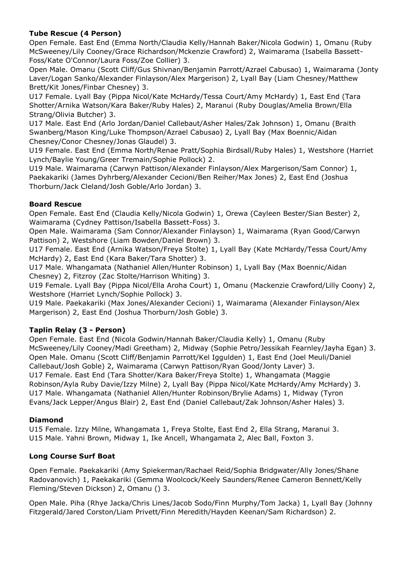# **Tube Rescue (4 Person)**

Open Female. East End (Emma North/Claudia Kelly/Hannah Baker/Nicola Godwin) 1, Omanu (Ruby McSweeney/Lily Cooney/Grace Richardson/Mckenzie Crawford) 2, Waimarama (Isabella Bassett-Foss/Kate O'Connor/Laura Foss/Zoe Collier) 3.

Open Male. Omanu (Scott Cliff/Gus Shivnan/Benjamin Parrott/Azrael Cabusao) 1, Waimarama (Jonty Laver/Logan Sanko/Alexander Finlayson/Alex Margerison) 2, Lyall Bay (Liam Chesney/Matthew Brett/Kit Jones/Finbar Chesney) 3.

U17 Female. Lyall Bay (Pippa Nicol/Kate McHardy/Tessa Court/Amy McHardy) 1, East End (Tara Shotter/Arnika Watson/Kara Baker/Ruby Hales) 2, Maranui (Ruby Douglas/Amelia Brown/Ella Strang/Olivia Butcher) 3.

U17 Male. East End (Arlo Jordan/Daniel Callebaut/Asher Hales/Zak Johnson) 1, Omanu (Braith Swanberg/Mason King/Luke Thompson/Azrael Cabusao) 2, Lyall Bay (Max Boennic/Aidan Chesney/Conor Chesney/Jonas Glaudel) 3.

U19 Female. East End (Emma North/Renae Pratt/Sophia Birdsall/Ruby Hales) 1, Westshore (Harriet Lynch/Baylie Young/Greer Tremain/Sophie Pollock) 2.

U19 Male. Waimarama (Carwyn Pattison/Alexander Finlayson/Alex Margerison/Sam Connor) 1, Paekakariki (James Dyhrberg/Alexander Cecioni/Ben Reiher/Max Jones) 2, East End (Joshua Thorburn/Jack Cleland/Josh Goble/Arlo Jordan) 3.

#### **Board Rescue**

Open Female. East End (Claudia Kelly/Nicola Godwin) 1, Orewa (Cayleen Bester/Sian Bester) 2, Waimarama (Cydney Pattison/Isabella Bassett-Foss) 3.

Open Male. Waimarama (Sam Connor/Alexander Finlayson) 1, Waimarama (Ryan Good/Carwyn Pattison) 2, Westshore (Liam Bowden/Daniel Brown) 3.

U17 Female. East End (Arnika Watson/Freya Stolte) 1, Lyall Bay (Kate McHardy/Tessa Court/Amy McHardy) 2, East End (Kara Baker/Tara Shotter) 3.

U17 Male. Whangamata (Nathaniel Allen/Hunter Robinson) 1, Lyall Bay (Max Boennic/Aidan Chesney) 2, Fitzroy (Zac Stolte/Harrison Whiting) 3.

U19 Female. Lyall Bay (Pippa Nicol/Ella Aroha Court) 1, Omanu (Mackenzie Crawford/Lilly Coony) 2, Westshore (Harriet Lynch/Sophie Pollock) 3.

U19 Male. Paekakariki (Max Jones/Alexander Cecioni) 1, Waimarama (Alexander Finlayson/Alex Margerison) 2, East End (Joshua Thorburn/Josh Goble) 3.

# **Taplin Relay (3 - Person)**

Open Female. East End (Nicola Godwin/Hannah Baker/Claudia Kelly) 1, Omanu (Ruby McSweeney/Lily Cooney/Madi Greetham) 2, Midway (Sophie Petro/Jessikah Fearnley/Jayha Egan) 3. Open Male. Omanu (Scott Cliff/Benjamin Parrott/Kel Iggulden) 1, East End (Joel Meuli/Daniel Callebaut/Josh Goble) 2, Waimarama (Carwyn Pattison/Ryan Good/Jonty Laver) 3. U17 Female. East End (Tara Shotter/Kara Baker/Freya Stolte) 1, Whangamata (Maggie Robinson/Ayla Ruby Davie/Izzy Milne) 2, Lyall Bay (Pippa Nicol/Kate McHardy/Amy McHardy) 3. U17 Male. Whangamata (Nathaniel Allen/Hunter Robinson/Brylie Adams) 1, Midway (Tyron Evans/Jack Lepper/Angus Blair) 2, East End (Daniel Callebaut/Zak Johnson/Asher Hales) 3.

# **Diamond**

U15 Female. Izzy Milne, Whangamata 1, Freya Stolte, East End 2, Ella Strang, Maranui 3. U15 Male. Yahni Brown, Midway 1, Ike Ancell, Whangamata 2, Alec Ball, Foxton 3.

# **Long Course Surf Boat**

Open Female. Paekakariki (Amy Spiekerman/Rachael Reid/Sophia Bridgwater/Ally Jones/Shane Radovanovich) 1, Paekakariki (Gemma Woolcock/Keely Saunders/Renee Cameron Bennett/Kelly Fleming/Steven Dickson) 2, Omanu () 3.

Open Male. Piha (Rhye Jacka/Chris Lines/Jacob Sodo/Finn Murphy/Tom Jacka) 1, Lyall Bay (Johnny Fitzgerald/Jared Corston/Liam Privett/Finn Meredith/Hayden Keenan/Sam Richardson) 2.